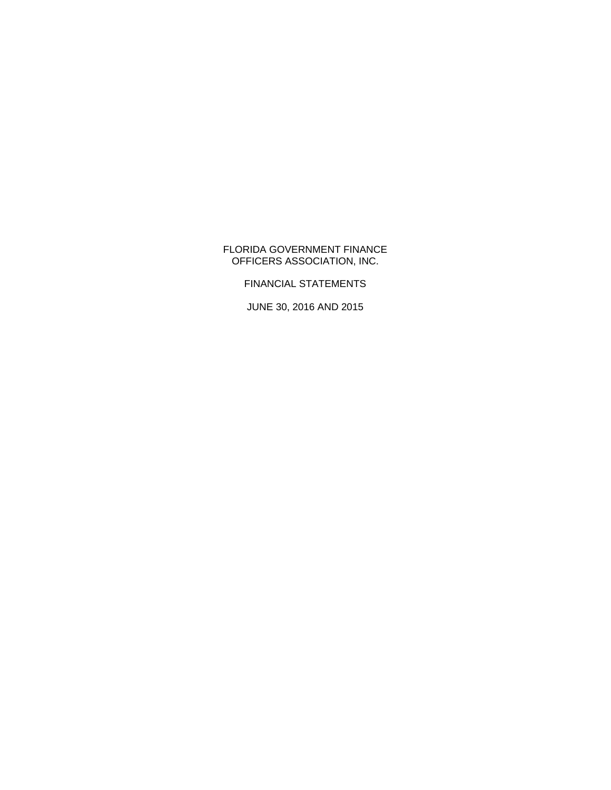### FLORIDA GOVERNMENT FINANCE OFFICERS ASSOCIATION, INC.

FINANCIAL STATEMENTS

JUNE 30, 2016 AND 2015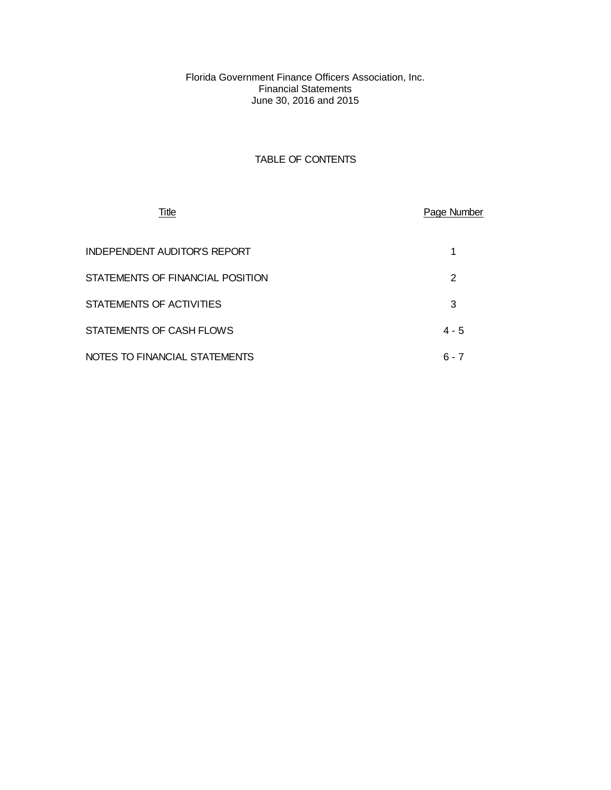Florida Government Finance Officers Association, Inc. Financial Statements June 30, 2016 and 2015

### TABLE OF CONTENTS

| <b>Title</b>                     | Page Number |
|----------------------------------|-------------|
| INDEPENDENT AUDITOR'S REPORT     | 1           |
| STATEMENTS OF FINANCIAL POSITION | 2           |
| STATEMENTS OF ACTIVITIES         | 3           |
| STATEMENTS OF CASH FLOWS         | $4 - 5$     |
| NOTES TO FINANCIAL STATEMENTS    | $6 - 7$     |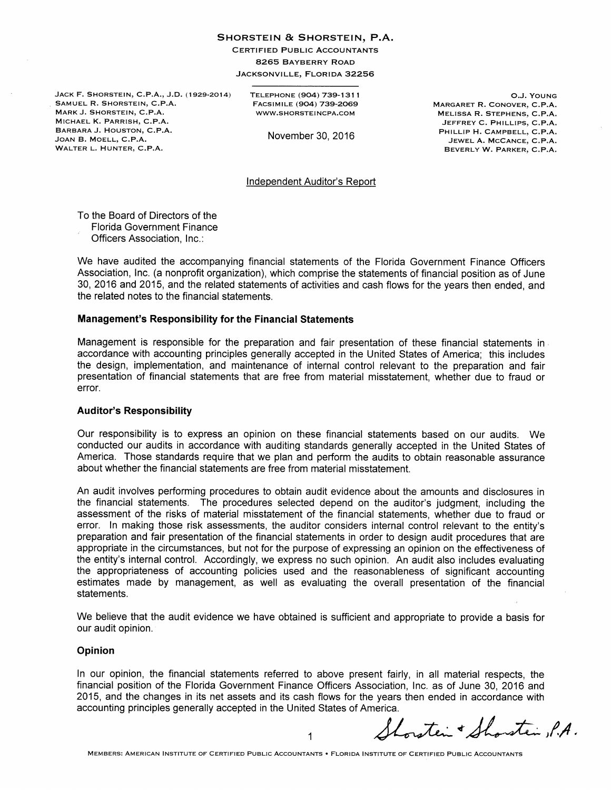#### SHORSTEIN & SHORSTEIN, P.A.

**CERTIFIED PUBLIC ACCOUNTANTS** 8265 BAYBERRY ROAD

JACKSONVILLE, FLORIDA 32256

JACK F. SHORSTEIN, C.P.A., J.D. (1929-2014) SAMUEL R. SHORSTEIN, C.P.A. MARK J. SHORSTEIN, C.P.A. MICHAEL K. PARRISH, C.P.A. BARBARA J. HOUSTON, C.P.A. JOAN B. MOELL, C.P.A. WALTER L. HUNTER, C.P.A.

TELEPHONE (904) 739-1311 FACSIMILE (904) 739-2069 WWW.SHORSTEINCPA.COM

November 30, 2016

O.J. YOUNG MARGARET R. CONOVER, C.P.A. MELISSA R. STEPHENS, C.P.A. JEFFREY C. PHILLIPS, C.P.A. PHILLIP H. CAMPBELL, C.P.A. JEWEL A. MCCANCE, C.P.A. BEVERLY W. PARKER, C.P.A.

#### **Independent Auditor's Report**

To the Board of Directors of the **Florida Government Finance** Officers Association, Inc.:

We have audited the accompanying financial statements of the Florida Government Finance Officers Association, Inc. (a nonprofit organization), which comprise the statements of financial position as of June 30, 2016 and 2015, and the related statements of activities and cash flows for the years then ended, and the related notes to the financial statements.

#### **Management's Responsibility for the Financial Statements**

Management is responsible for the preparation and fair presentation of these financial statements in accordance with accounting principles generally accepted in the United States of America; this includes the design, implementation, and maintenance of internal control relevant to the preparation and fair presentation of financial statements that are free from material misstatement, whether due to fraud or error.

### **Auditor's Responsibility**

Our responsibility is to express an opinion on these financial statements based on our audits. We conducted our audits in accordance with auditing standards generally accepted in the United States of America. Those standards require that we plan and perform the audits to obtain reasonable assurance about whether the financial statements are free from material misstatement.

An audit involves performing procedures to obtain audit evidence about the amounts and disclosures in the financial statements. The procedures selected depend on the auditor's judgment, including the assessment of the risks of material misstatement of the financial statements, whether due to fraud or error. In making those risk assessments, the auditor considers internal control relevant to the entity's preparation and fair presentation of the financial statements in order to design audit procedures that are appropriate in the circumstances, but not for the purpose of expressing an opinion on the effectiveness of the entity's internal control. Accordingly, we express no such opinion. An audit also includes evaluating the appropriateness of accounting policies used and the reasonableness of significant accounting estimates made by management, as well as evaluating the overall presentation of the financial statements.

We believe that the audit evidence we have obtained is sufficient and appropriate to provide a basis for our audit opinion.

#### **Opinion**

In our opinion, the financial statements referred to above present fairly, in all material respects, the financial position of the Florida Government Finance Officers Association, Inc. as of June 30, 2016 and 2015, and the changes in its net assets and its cash flows for the years then ended in accordance with accounting principles generally accepted in the United States of America.

stein & Shorstein P.A.

1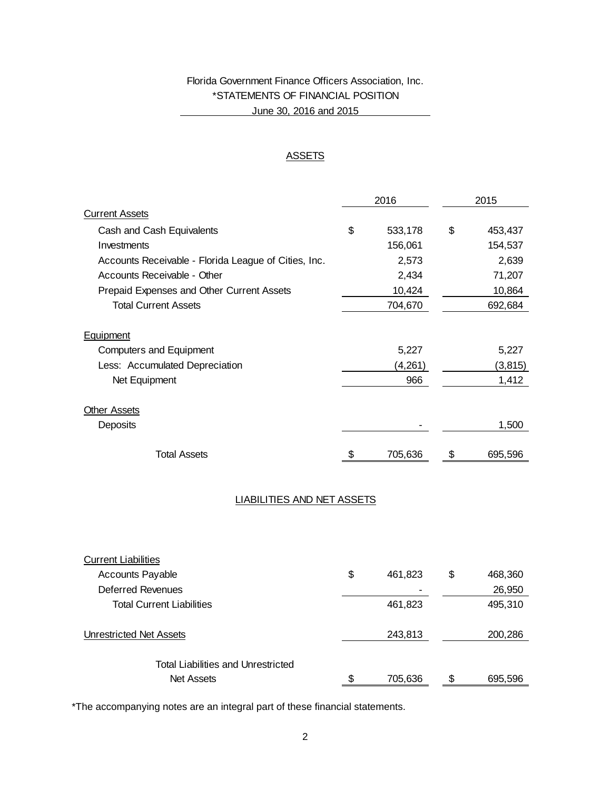# Florida Government Finance Officers Association, Inc. \*STATEMENTS OF FINANCIAL POSITION June 30, 2016 and 2015

### **ASSETS**

|                                                      | 2016 |         | 2015 |          |
|------------------------------------------------------|------|---------|------|----------|
| <b>Current Assets</b>                                |      |         |      |          |
| Cash and Cash Equivalents                            | \$   | 533,178 | \$   | 453,437  |
| Investments                                          |      | 156,061 |      | 154,537  |
| Accounts Receivable - Florida League of Cities, Inc. |      | 2,573   |      | 2,639    |
| Accounts Receivable - Other                          |      | 2,434   |      | 71,207   |
| Prepaid Expenses and Other Current Assets            |      | 10,424  |      | 10,864   |
| <b>Total Current Assets</b>                          |      | 704,670 |      | 692,684  |
| Equipment                                            |      |         |      |          |
| <b>Computers and Equipment</b>                       |      | 5,227   |      | 5,227    |
| Less: Accumulated Depreciation                       |      | (4,261) |      | (3, 815) |
| Net Equipment                                        |      | 966     |      | 1,412    |
| <b>Other Assets</b>                                  |      |         |      |          |
| Deposits                                             |      |         |      | 1,500    |
| <b>Total Assets</b>                                  | \$   | 705,636 | \$   | 695,596  |
|                                                      |      |         |      |          |
| <b>LIABILITIES AND NET ASSETS</b>                    |      |         |      |          |
|                                                      |      |         |      |          |
|                                                      |      |         |      |          |
| <b>Current Liabilities</b>                           |      |         |      |          |

| <b>Accounts Payable</b>                   | \$ | 461.823 | \$<br>468,360 |
|-------------------------------------------|----|---------|---------------|
| <b>Deferred Revenues</b>                  |    |         | 26,950        |
| <b>Total Current Liabilities</b>          |    | 461,823 | 495,310       |
| <b>Unrestricted Net Assets</b>            |    | 243,813 | 200,286       |
| <b>Total Liabilities and Unrestricted</b> |    |         |               |
| <b>Net Assets</b>                         | S. | 705,636 | 695,596       |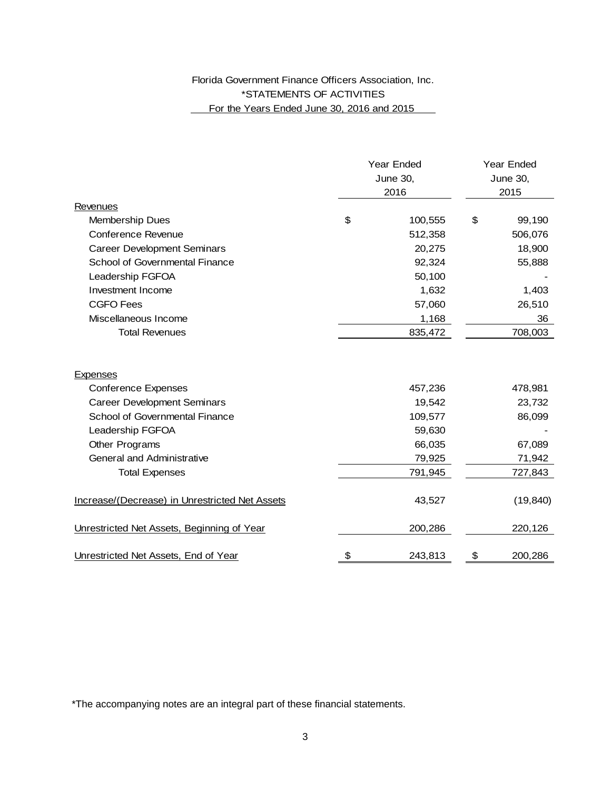# Florida Government Finance Officers Association, Inc. \*STATEMENTS OF ACTIVITIES For the Years Ended June 30, 2016 and 2015

|                                                | Year Ended<br>June 30,<br>2016 |         | <b>Year Ended</b><br><b>June 30,</b><br>2015 |           |
|------------------------------------------------|--------------------------------|---------|----------------------------------------------|-----------|
| Revenues                                       |                                |         |                                              |           |
| Membership Dues                                | \$                             | 100,555 | \$                                           | 99,190    |
| <b>Conference Revenue</b>                      |                                | 512,358 |                                              | 506,076   |
| <b>Career Development Seminars</b>             |                                | 20,275  |                                              | 18,900    |
| School of Governmental Finance                 |                                | 92,324  |                                              | 55,888    |
| Leadership FGFOA                               |                                | 50,100  |                                              |           |
| Investment Income                              |                                | 1,632   |                                              | 1,403     |
| <b>CGFO Fees</b>                               |                                | 57,060  |                                              | 26,510    |
| Miscellaneous Income                           |                                | 1,168   |                                              | 36        |
| <b>Total Revenues</b>                          |                                | 835,472 |                                              | 708,003   |
| <b>Expenses</b>                                |                                |         |                                              |           |
| <b>Conference Expenses</b>                     |                                | 457,236 |                                              | 478,981   |
| <b>Career Development Seminars</b>             |                                | 19,542  |                                              | 23,732    |
| School of Governmental Finance                 |                                | 109,577 |                                              | 86,099    |
| Leadership FGFOA                               |                                | 59,630  |                                              |           |
| Other Programs                                 |                                | 66,035  |                                              | 67,089    |
| General and Administrative                     |                                | 79,925  |                                              | 71,942    |
| <b>Total Expenses</b>                          |                                | 791,945 |                                              | 727,843   |
| Increase/(Decrease) in Unrestricted Net Assets |                                | 43,527  |                                              | (19, 840) |
| Unrestricted Net Assets, Beginning of Year     |                                | 200,286 |                                              | 220,126   |
| Unrestricted Net Assets, End of Year           | \$                             | 243,813 | \$                                           | 200,286   |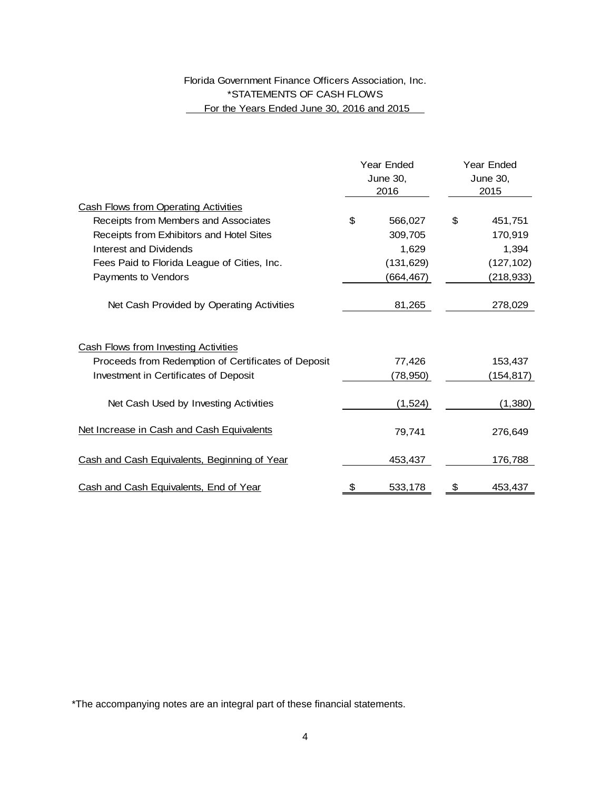# Florida Government Finance Officers Association, Inc. \*STATEMENTS OF CASH FLOWS For the Years Ended June 30, 2016 and 2015

|                                                     |    | Year Ended<br>June 30,<br>2016 |    | Year Ended<br>June 30,<br>2015 |  |
|-----------------------------------------------------|----|--------------------------------|----|--------------------------------|--|
| <b>Cash Flows from Operating Activities</b>         |    |                                |    |                                |  |
| Receipts from Members and Associates                | \$ | 566,027                        | \$ | 451,751                        |  |
| Receipts from Exhibitors and Hotel Sites            |    | 309,705                        |    | 170,919                        |  |
| Interest and Dividends                              |    | 1,629                          |    | 1,394                          |  |
| Fees Paid to Florida League of Cities, Inc.         |    | (131, 629)                     |    | (127, 102)                     |  |
| Payments to Vendors                                 |    | (664,467)                      |    | (218,933)                      |  |
| Net Cash Provided by Operating Activities           |    | 81,265                         |    | 278,029                        |  |
| <b>Cash Flows from Investing Activities</b>         |    |                                |    |                                |  |
| Proceeds from Redemption of Certificates of Deposit |    | 77,426                         |    | 153,437                        |  |
| Investment in Certificates of Deposit               |    | (78,950)                       |    | (154,817)                      |  |
| Net Cash Used by Investing Activities               |    | (1, 524)                       |    | (1,380)                        |  |
| Net Increase in Cash and Cash Equivalents           |    | 79,741                         |    | 276,649                        |  |
| Cash and Cash Equivalents, Beginning of Year        |    | 453,437                        |    | 176,788                        |  |
| Cash and Cash Equivalents, End of Year              | \$ | 533,178                        | \$ | 453,437                        |  |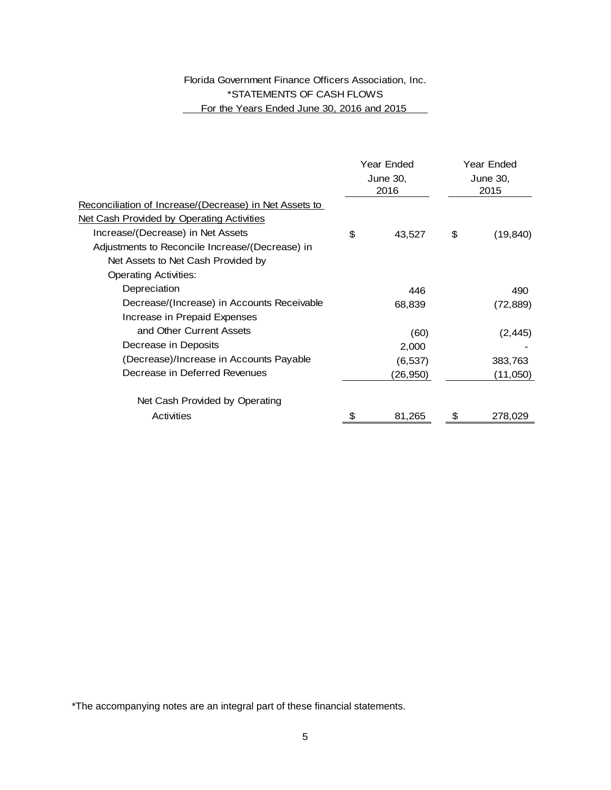# Florida Government Finance Officers Association, Inc. \*STATEMENTS OF CASH FLOWS For the Years Ended June 30, 2016 and 2015

|                                                        | Year Ended<br>June 30,<br>2016 |          | Year Ended<br>June 30,<br>2015 |           |
|--------------------------------------------------------|--------------------------------|----------|--------------------------------|-----------|
|                                                        |                                |          |                                |           |
|                                                        |                                |          |                                |           |
| Reconciliation of Increase/(Decrease) in Net Assets to |                                |          |                                |           |
| Net Cash Provided by Operating Activities              |                                |          |                                |           |
| Increase/(Decrease) in Net Assets                      | \$                             | 43,527   | \$                             | (19, 840) |
| Adjustments to Reconcile Increase/(Decrease) in        |                                |          |                                |           |
| Net Assets to Net Cash Provided by                     |                                |          |                                |           |
| <b>Operating Activities:</b>                           |                                |          |                                |           |
| Depreciation                                           |                                | 446      |                                | 490       |
| Decrease/(Increase) in Accounts Receivable             |                                | 68,839   |                                | (72,889)  |
| Increase in Prepaid Expenses                           |                                |          |                                |           |
| and Other Current Assets                               |                                | (60)     |                                | (2, 445)  |
| Decrease in Deposits                                   |                                | 2,000    |                                |           |
| (Decrease)/Increase in Accounts Payable                |                                | (6, 537) |                                | 383,763   |
| Decrease in Deferred Revenues                          |                                | (26,950) |                                | (11,050)  |
|                                                        |                                |          |                                |           |
| Net Cash Provided by Operating                         |                                |          |                                |           |
| Activities                                             |                                | 81,265   |                                | 278,029   |
|                                                        |                                |          |                                |           |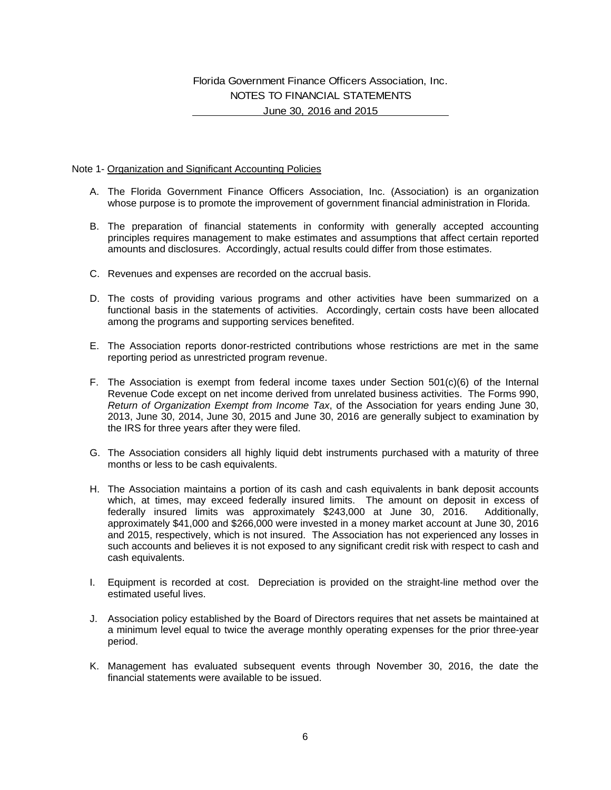# Florida Government Finance Officers Association, Inc. NOTES TO FINANCIAL STATEMENTS June 30, 2016 and 2015

### Note 1- Organization and Significant Accounting Policies

- A. The Florida Government Finance Officers Association, Inc. (Association) is an organization whose purpose is to promote the improvement of government financial administration in Florida.
- B. The preparation of financial statements in conformity with generally accepted accounting principles requires management to make estimates and assumptions that affect certain reported amounts and disclosures. Accordingly, actual results could differ from those estimates.
- C. Revenues and expenses are recorded on the accrual basis.
- D. The costs of providing various programs and other activities have been summarized on a functional basis in the statements of activities. Accordingly, certain costs have been allocated among the programs and supporting services benefited.
- E. The Association reports donor-restricted contributions whose restrictions are met in the same reporting period as unrestricted program revenue.
- F. The Association is exempt from federal income taxes under Section 501(c)(6) of the Internal Revenue Code except on net income derived from unrelated business activities. The Forms 990, *Return of Organization Exempt from Income Tax*, of the Association for years ending June 30, 2013, June 30, 2014, June 30, 2015 and June 30, 2016 are generally subject to examination by the IRS for three years after they were filed.
- G. The Association considers all highly liquid debt instruments purchased with a maturity of three months or less to be cash equivalents.
- H. The Association maintains a portion of its cash and cash equivalents in bank deposit accounts which, at times, may exceed federally insured limits. The amount on deposit in excess of federally insured limits was approximately \$243,000 at June 30, 2016. Additionally, approximately \$41,000 and \$266,000 were invested in a money market account at June 30, 2016 and 2015, respectively, which is not insured. The Association has not experienced any losses in such accounts and believes it is not exposed to any significant credit risk with respect to cash and cash equivalents.
- I. Equipment is recorded at cost. Depreciation is provided on the straight-line method over the estimated useful lives.
- J. Association policy established by the Board of Directors requires that net assets be maintained at a minimum level equal to twice the average monthly operating expenses for the prior three-year period.
- K. Management has evaluated subsequent events through November 30, 2016, the date the financial statements were available to be issued.